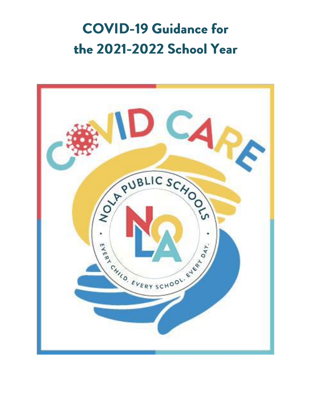# **COVID-19 Guidance for** the 2021-2022 School Year

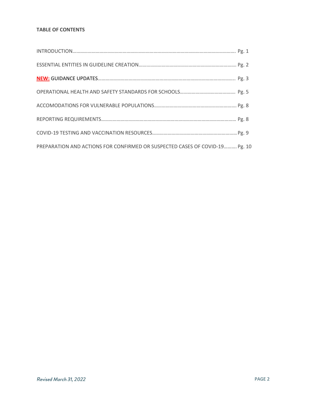# **TABLE OF CONTENTS**

| PREPARATION AND ACTIONS FOR CONFIRMED OR SUSPECTED CASES OF COVID-19 Pg. 10 |  |
|-----------------------------------------------------------------------------|--|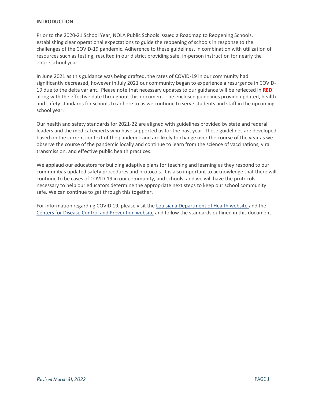#### **INTRODUCTION**

Prior to the 2020-21 School Year, NOLA Public Schools issued a Roadmap to Reopening Schools, establishing clear operational expectations to guide the reopening of schools in response to the challenges of the COVID-19 pandemic. Adherence to these guidelines, in combination with utilization of resources such as testing, resulted in our district providing safe, in-person instruction for nearly the entire school year.

In June 2021 as this guidance was being drafted, the rates of COVID-19 in our community had significantly decreased, however in July 2021 our community began to experience a resurgence in COVID-19 due to the delta variant. Please note that necessary updates to our guidance will be reflected in **RED** along with the effective date throughout this document. The enclosed guidelines provide updated, health and safety standards for schools to adhere to as we continue to serve students and staff in the upcoming school year.

Our health and safety standards for 2021-22 are aligned with guidelines provided by state and federal leaders and the medical experts who have supported us for the past year. These guidelines are developed based on the current context of the pandemic and are likely to change over the course of the year as we observe the course of the pandemic locally and continue to learn from the science of vaccinations, viral transmission, and effective public health practices.

We applaud our educators for building adaptive plans for teaching and learning as they respond to our community's updated safety procedures and protocols. It is also important to acknowledge that there will continue to be cases of COVID-19 in our community, and schools, and we will have the protocols necessary to help our educators determine the appropriate next steps to keep our school community safe. We can continue to get through this together.

For information regarding COVID 19, please visit the [Louisiana Department of Health website](https://www.ldh.la.gov/coronavirus) and the [Centers for Disease Control and Prevention website](https://www.cdc.gov/coronavirus/2019-ncov/index.html) and follow the standards outlined in this document.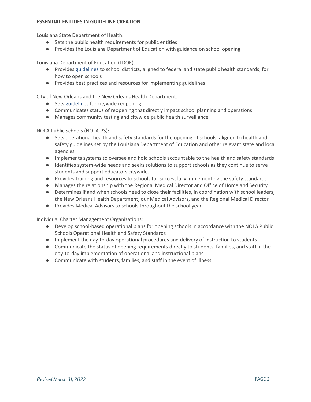#### **ESSENTIAL ENTITIES IN GUIDELINE CREATION**

Louisiana State Department of Health:

- Sets the public health requirements for public entities
- Provides the Louisiana Department of Education with guidance on school opening

Louisiana Department of Education (LDOE):

- Provides [guidelines](https://www.louisianabelieves.com/docs/default-source/ready-to-achieve/ready-to-achieve!-2021-2022-school-operational-guidelines.pdf?sfvrsn=737f6718_2) to school districts, aligned to federal and state public health standards, for how to open schools
- Provides best practices and resources for implementing guidelines

City of New Orleans and the New Orleans Health Department:

- Sets [guidelines](https://ready.nola.gov/incident/coronavirus/safe-reopening/#phase) for citywide reopening
- Communicates status of reopening that directly impact school planning and operations
- Manages community testing and citywide public health surveillance

NOLA Public Schools (NOLA-PS):

- Sets operational health and safety standards for the opening of schools, aligned to health and safety guidelines set by the Louisiana Department of Education and other relevant state and local agencies
- Implements systems to oversee and hold schools accountable to the health and safety standards
- Identifies system-wide needs and seeks solutions to support schools as they continue to serve students and support educators citywide.
- Provides training and resources to schools for successfully implementing the safety standards
- Manages the relationship with the Regional Medical Director and Office of Homeland Security
- Determines if and when schools need to close their facilities, in coordination with school leaders, the New Orleans Health Department, our Medical Advisors, and the Regional Medical Director
- Provides Medical Advisors to schools throughout the school year

Individual Charter Management Organizations:

- Develop school-based operational plans for opening schools in accordance with the NOLA Public Schools Operational Health and Safety Standards
- Implement the day-to-day operational procedures and delivery of instruction to students
- Communicate the status of opening requirements directly to students, families, and staff in the day-to-day implementation of operational and instructional plans
- Communicate with students, families, and staff in the event of illness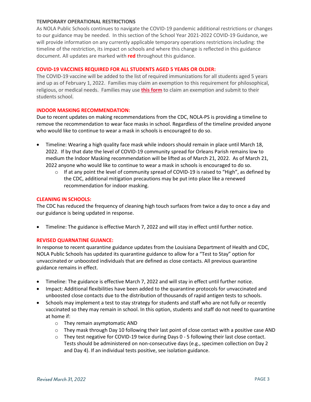#### **TEMPORARY OPERATIONAL RESTRICTIONS**

As NOLA Public Schools continues to navigate the COVID-19 pandemic additional restrictions or changes to our guidance may be needed. In this section of the School Year 2021-2022 COVID-19 Guidance, we will provide information on any currently applicable temporary operations restrictions including: the timeline of the restriction, its impact on schools and where this change is reflected in this guidance document. All updates are marked with **red** throughout this guidance.

## **COVID-19 VACCINES REQUIRED FOR ALL STUDENTS AGED 5 YEARS OR OLDER:**

The COVID-19 vaccine will be added to the list of required immunizations for all students aged 5 years and up as of February 1, 2022. Families may claim an exemption to this requirement for philosophical, religious, or medical needs. Families may use **[this form](https://ldh.la.gov/assets/oph/Center-PHCH/Center-PH/immunizations/statement-of-exemption-from-immunizations.pdf)** to claim an exemption and submit to their students school.

#### **INDOOR MASKING RECOMMENDATION:**

Due to recent updates on making recommendations from the CDC, NOLA-PS is providing a timeline to remove the recommendation to wear face masks in school. Regardless of the timeline provided anyone who would like to continue to wear a mask in schools is encouraged to do so.

- Timeline: Wearing a high quality face mask while indoors should remain in place until March 18, 2022. If by that date the level of COVID-19 community spread for Orleans Parish remains low to medium the Indoor Masking recommendation will be lifted as of March 21, 2022. As of March 21, 2022 anyone who would like to continue to wear a mask in schools is encouraged to do so.
	- $\circ$  If at any point the level of community spread of COVID-19 is raised to "High", as defined by the CDC, additional mitigation precautions may be put into place like a renewed recommendation for indoor masking.

## **CLEANING IN SCHOOLS:**

The CDC has reduced the frequency of cleaning high touch surfaces from twice a day to once a day and our guidance is being updated in response.

• Timeline: The guidance is effective March 7, 2022 and will stay in effect until further notice.

#### **REVISED QUARNATINE GUIANCE:**

In response to recent quarantine guidance updates from the Louisiana Department of Health and CDC, NOLA Public Schools has updated its quarantine guidance to allow for a "Test to Stay" option for unvaccinated or unboosted individuals that are defined as close contacts. All previous quarantine guidance remains in effect.

- Timeline: The guidance is effective March 7, 2022 and will stay in effect until further notice.
- Impact: Additional flexibilities have been added to the quarantine protocols for unvaccinated and unboosted close contacts due to the distribution of thousands of rapid antigen tests to schools.
- Schools may implement a test to stay strategy for students and staff who are not fully or recently vaccinated so they may remain in school. In this option, students and staff do not need to quarantine at home if:
	- o They remain asymptomatic AND
	- $\circ$  They mask through Day 10 following their last point of close contact with a positive case AND
	- $\circ$  They test negative for COVID-19 twice during Days 0 5 following their last close contact. Tests should be administered on non-consecutive days (e.g., specimen collection on Day 2 and Day 4). If an individual tests positive, see isolation guidance.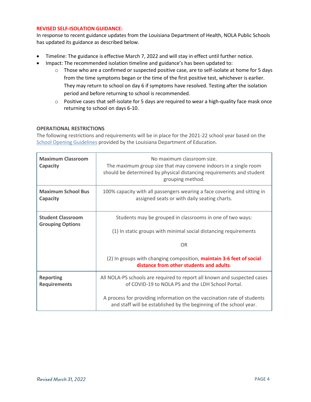# **REVISED SELF-ISOLATION GUIDANCE:**

In response to recent guidance updates from the Louisiana Department of Health, NOLA Public Schools has updated its guidance as described below.

- Timeline: The guidance is effective March 7, 2022 and will stay in effect until further notice.
- Impact: The recommended isolation timeline and guidance's has been updated to:
	- o Those who are a confirmed or suspected positive case, are to self-isolate at home for 5 days from the time symptoms began or the time of the first positive test, whichever is earlier. They may return to school on day 6 if symptoms have resolved. Testing after the isolation period and before returning to school is recommended.
	- $\circ$  Positive cases that self-isolate for 5 days are required to wear a high-quality face mask once returning to school on days 6-10.

# **OPERATIONAL RESTRICTIONS**

The following restrictions and requirements will be in place for the 2021-22 school year based on the [School Opening Guidelines](https://www.louisianabelieves.com/docs/default-source/ready-to-achieve/ready-to-achieve!-2021-2022-school-operational-guidelines.pdf?sfvrsn=737f6718_2) provided by the Louisiana Department of Education.

| <b>Maximum Classroom</b><br>Capacity    | No maximum classroom size.<br>The maximum group size that may convene indoors in a single room<br>should be determined by physical distancing requirements and student<br>grouping method. |
|-----------------------------------------|--------------------------------------------------------------------------------------------------------------------------------------------------------------------------------------------|
| <b>Maximum School Bus</b><br>Capacity   | 100% capacity with all passengers wearing a face covering and sitting in<br>assigned seats or with daily seating charts.                                                                   |
| <b>Student Classroom</b>                | Students may be grouped in classrooms in one of two ways:                                                                                                                                  |
| <b>Grouping Options</b>                 | (1) In static groups with minimal social distancing requirements                                                                                                                           |
|                                         | <b>OR</b>                                                                                                                                                                                  |
|                                         | (2) In groups with changing composition, maintain 3-6 feet of social<br>distance from other students and adults.                                                                           |
| <b>Reporting</b><br><b>Requirements</b> | All NOLA-PS schools are required to report all known and suspected cases<br>of COVID-19 to NOLA PS and the LDH School Portal.                                                              |
|                                         | A process for providing information on the vaccination rate of students<br>and staff will be established by the beginning of the school year.                                              |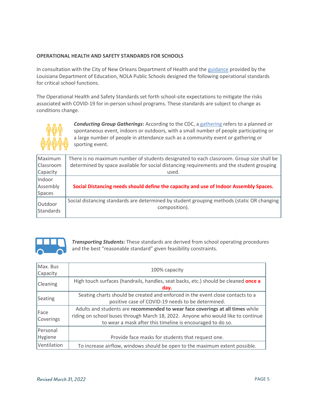# **OPERATIONAL HEALTH AND SAFETY STANDARDS FOR SCHOOLS**

In consultation with the City of New Orleans Department of Health and the [guidance](https://www.louisianabelieves.com/docs/default-source/ready-to-achieve/ready-to-achieve!-2021-2022-school-operational-guidelines.pdf?sfvrsn=737f6718_2) provided by the Louisiana Department of Education, NOLA Public Schools designed the following operational standards for critical school functions.

The Operational Health and Safety Standards set forth school-site expectations to mitigate the risks associated with COVID-19 for in-person school programs. These standards are subject to change as conditions change.



*Conducting Group Gatherings***:** According to the CDC, a [gathering](https://www.cdc.gov/coronavirus/2019-ncov/community/large-events/considerations-for-events-gatherings.html) refers to a planned or spontaneous event, indoors or outdoors, with a small number of people participating or a large number of people in attendance such as a community event or gathering or sporting event.

| Maximum              | There is no maximum number of students designated to each classroom. Group size shall be                    |
|----------------------|-------------------------------------------------------------------------------------------------------------|
| Classroom            | determined by space available for social distancing requirements and the student grouping                   |
| Capacity             | used.                                                                                                       |
| Indoor               |                                                                                                             |
| Assembly             | Social Distancing needs should define the capacity and use of Indoor Assembly Spaces.                       |
| Spaces               |                                                                                                             |
| Outdoor<br>Standards | Social distancing standards are determined by student grouping methods (static OR changing<br>composition). |



*Transporting Students:* These standards are derived from school operating procedures and the best "reasonable standard" given feasibility constraints.

| Max. Bus<br>Capacity | 100% capacity                                                                                                                                                                                                                   |
|----------------------|---------------------------------------------------------------------------------------------------------------------------------------------------------------------------------------------------------------------------------|
| <b>Cleaning</b>      | High touch surfaces (handrails, handles, seat backs, etc.) should be cleaned <b>once a</b><br>day.                                                                                                                              |
| Seating              | Seating charts should be created and enforced in the event close contacts to a<br>positive case of COVID-19 needs to be determined.                                                                                             |
| Face<br>Coverings    | Adults and students are recommended to wear face coverings at all times while<br>riding on school buses through March 18, 2022. Anyone who would like to continue<br>to wear a mask after this timeline is encouraged to do so. |
| Personal<br>Hygiene  | Provide face masks for students that request one.                                                                                                                                                                               |
| Ventilation          | To increase airflow, windows should be open to the maximum extent possible.                                                                                                                                                     |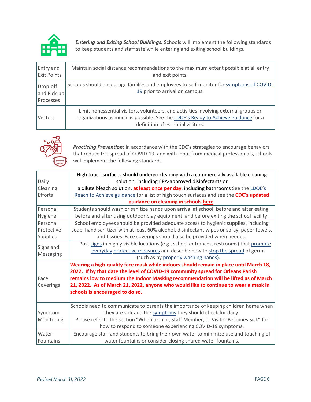

*Entering and Exiting School Buildings:* Schools will implement the following standards to keep students and staff safe while entering and exiting school buildings.

| Entry and<br><b>Exit Points</b>             | Maintain social distance recommendations to the maximum extent possible at all entry<br>and exit points.                                                                                                       |
|---------------------------------------------|----------------------------------------------------------------------------------------------------------------------------------------------------------------------------------------------------------------|
| Drop-off<br>and Pick-up<br><b>Processes</b> | Schools should encourage families and employees to self-monitor for symptoms of COVID-<br>19 prior to arrival on campus.                                                                                       |
| <b>Visitors</b>                             | Limit nonessential visitors, volunteers, and activities involving external groups or<br>organizations as much as possible. See the LDOE's Ready to Achieve guidance for a<br>definition of essential visitors. |



*Practicing Prevention:* In accordance with the CDC's strategies to encourage behaviors that reduce the spread of COVID-19, and with input from medical professionals, schools will implement the following standards.

|                 | High touch surfaces should undergo cleaning with a commercially available cleaning         |
|-----------------|--------------------------------------------------------------------------------------------|
| Daily           | solution, including EPA-approved disinfectants or                                          |
| Cleaning        | a dilute bleach solution, at least once per day, including bathrooms See the LDOE's        |
| Efforts         | Reach to Achieve guidance for a list of high touch surfaces and see the CDC's updated      |
|                 | guidance on cleaning in schools here.                                                      |
| Personal        | Students should wash or sanitize hands upon arrival at school, before and after eating,    |
| Hygiene         | before and after using outdoor play equipment, and before exiting the school facility.     |
| Personal        | School employees should be provided adequate access to hygienic supplies, including        |
| Protective      | soap, hand sanitizer with at least 60% alcohol, disinfectant wipes or spray, paper towels, |
| <b>Supplies</b> | and tissues. Face coverings should also be provided when needed.                           |
| Signs and       | Post signs in highly visible locations (e.g., school entrances, restrooms) that promote    |
| Messaging       | everyday protective measures and describe how to stop the spread of germs                  |
|                 | (such as by properly washing hands).                                                       |
|                 | Wearing a high-quality face mask while indoors should remain in place until March 18,      |
|                 | 2022. If by that date the level of COVID-19 community spread for Orleans Parish            |
| Face            | remains low to medium the Indoor Masking recommendation will be lifted as of March         |
| Coverings       | 21, 2022. As of March 21, 2022, anyone who would like to continue to wear a mask in        |
|                 | schools is encouraged to do so.                                                            |
|                 |                                                                                            |
|                 | Schools need to communicate to parents the importance of keeping children home when        |
| Symptom         | they are sick and the symptoms they should check for daily.                                |
| Monitoring      | Please refer to the section "When a Child, Staff Member, or Visitor Becomes Sick" for      |
|                 | how to respond to someone experiencing COVID-19 symptoms.                                  |
| Water           | Encourage staff and students to bring their own water to minimize use and touching of      |
| Fountains       | water fountains or consider closing shared water fountains.                                |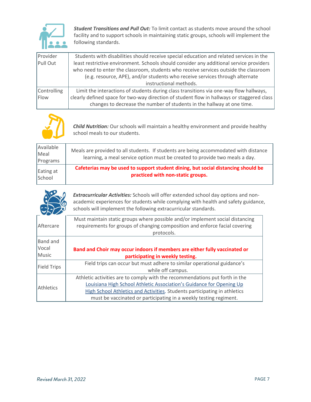

*Student Transitions and Pull Out:* To limit contact as students move around the school facility and to support schools in maintaining static groups, schools will implement the following standards.

| Provider    | Students with disabilities should receive special education and related services in the                                                                                                                                                                         |
|-------------|-----------------------------------------------------------------------------------------------------------------------------------------------------------------------------------------------------------------------------------------------------------------|
| Pull Out    | least restrictive environment. Schools should consider any additional service providers<br>who need to enter the classroom, students who receive services outside the classroom<br>(e.g. resource, APE), and/or students who receive services through alternate |
|             | instructional methods.                                                                                                                                                                                                                                          |
| Controlling | Limit the interactions of students during class transitions via one-way flow hallways,                                                                                                                                                                          |
| Flow        | clearly defined space for two-way direction of student flow in hallways or staggered class<br>changes to decrease the number of students in the hallway at one time.                                                                                            |



*Child Nutrition:* Our schools will maintain a healthy environment and provide healthy school meals to our students.

| Available<br>Meal<br>Programs | Meals are provided to all students. If students are being accommodated with distance<br>learning, a meal service option must be created to provide two meals a day. |
|-------------------------------|---------------------------------------------------------------------------------------------------------------------------------------------------------------------|
| Eating at                     | Cafeterias may be used to support student dining, but social distancing should be                                                                                   |
| School                        | practiced with non-static groups.                                                                                                                                   |

*Extracurricular Activities:* Schools will offer extended school day options and nonacademic experiences for students while complying with health and safety guidance, schools will implement the following extracurricular standards.

|                    | Must maintain static groups where possible and/or implement social distancing |
|--------------------|-------------------------------------------------------------------------------|
| Aftercare          | requirements for groups of changing composition and enforce facial covering   |
|                    | protocols.                                                                    |
| <b>Band</b> and    |                                                                               |
| Vocal              | Band and Choir may occur indoors if members are either fully vaccinated or    |
| Music              | participating in weekly testing.                                              |
|                    | Field trips can occur but must adhere to similar operational guidance's       |
| <b>Field Trips</b> | while off campus.                                                             |
| <b>Athletics</b>   | Athletic activities are to comply with the recommendations put forth in the   |
|                    | Louisiana High School Athletic Association's Guidance for Opening Up          |
|                    | High School Athletics and Activities. Students participating in athletics     |
|                    | must be vaccinated or participating in a weekly testing regiment.             |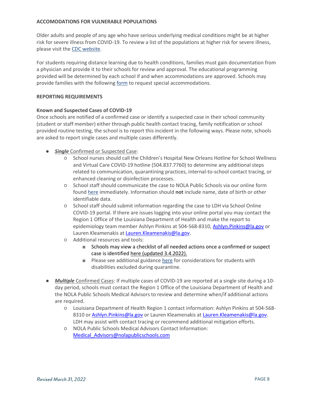# **ACCOMODATIONS FOR VULNERABLE POPULATIONS**

Older adults and people of any age who have serious underlying medical conditions might be at higher risk for severe illness from COVID-19. To review a list of the populations at higher risk for severe illness, please visit the [CDC website.](https://www.cdc.gov/coronavirus/2019-ncov/need-extra-precautions/index.html)

For students requiring distance learning due to health conditions, families must gain documentation from a physician and provide it to their schools for review and approval. The educational programming provided will be determined by each school if and when accommodations are approved. Schools may provide families with the following [form](https://drive.google.com/file/d/1qxRjz-paNg3YzU5kuIrV2PrRof0DWfNL/view?usp=sharing) to request special accommodations.

#### **REPORTING REQUIREMENTS**

#### **Known and Suspected Cases of COVID-19**

Once schools are notified of a confirmed case or identify a suspected case in their school community (student or staff member) either through public health contact tracing, family notification or school provided routine testing, the school is to report this incident in the following ways. Please note, schools are asked to report single cases and multiple cases differently.

- **•** *Single* Confirmed or Suspected Case:
	- School nurses should call the Children's Hospital New Orleans Hotline for School Wellness and Virtual Care COVID-19 hotline (504.837.7760) to determine any additional steps related to communication, quarantining practices, internal-to-school contact tracing, or enhanced cleaning or disinfection processes.
	- School staff should communicate the case to NOLA Public Schools via our online form found [here](https://docs.google.com/forms/d/e/1FAIpQLSfyLJ3vBg2KH-4CWpyaUpiKn7_MNtJbFmdrM_VBcj015-uqfA/viewform) immediately. Information should **not** include name, date of birth or other identifiable data.
	- School staff should submit information regarding the case to LDH via School Online COVID-19 portal. If there are issues logging into your online portal you may contact the Region 1 Office of the Louisiana Department of Health and make the report to epidemiology team member Ashlyn Pinkins at 504-568-8310, [Ashlyn.Pinkins@la.gov](mailto:Ashlyn.Pinkins@la.gov) or Lauren Kleamenakis at [Lauren.Kleamenakis@la.gov.](mailto:Lauren.Kleamenakis@la.gov)
	- Additional resources and tools:
		- Schools may view a checklist of all needed actions once a confirmed or suspect case is identified [here](file:///C:/Users/tdelcour/Documents/My%20Documents/Documents/Emergency%20Preparedness/Covid%2019%20Planning/Spring%202021%20Planning/Confirmed%20or%20Suspected%20Case%20Checklist%203.4.21.pdf) (updated 3.4.2022).
		- Please see additional guidance [here](https://drive.google.com/file/d/1G3OsX3rMJg_uJd6_U-nHl21S82cUTIaF/view?usp=sharing) for considerations for students with disabilities excluded during quarantine.
- *Multiple* Confirmed Cases: If multiple cases of COVID-19 are reported at a single site during a 10 day period, schools must contact the Region 1 Office of the Louisiana Department of Health and the NOLA Public Schools Medical Advisors to review and determine when/if additional actions are required.
	- Louisiana Department of Health Region 1 contact information: Ashlyn Pinkins at 504-568- 8310 or Ashlyn. Pinkins@la.gov or Lauren Kleamenakis at Lauren. Kleamenakis@la.gov. LDH may assist with contact tracing or recommend additional mitigation efforts.
	- NOLA Public Schools Medical Advisors Contact Information: [Medical\\_Advisors@nolapublicschools.com](mailto:Medical_Advisors@nolapublicschools.com)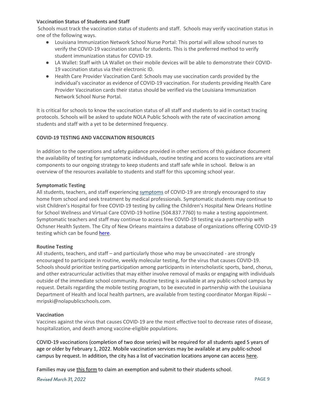# **Vaccination Status of Students and Staff**

Schools must track the vaccination status of students and staff. Schools may verify vaccination status in one of the following ways.

- Louisiana Immunization Network School Nurse Portal: This portal will allow school nurses to verify the COVID-19 vaccination status for students. This is the preferred method to verify student immunization status for COVID-19.
- LA Wallet: Staff with LA Wallet on their mobile devices will be able to demonstrate their COVID-19 vaccination status via their electronic ID.
- Health Care Provider Vaccination Card: Schools may use vaccination cards provided by the individual's vaccinator as evidence of COVID-19 vaccination. For students providing Health Care Provider Vaccination cards their status should be verified via the Louisiana Immunization Network School Nurse Portal.

It is critical for schools to know the vaccination status of all staff and students to aid in contact tracing protocols. Schools will be asked to update NOLA Public Schools with the rate of vaccination among students and staff with a yet to be determined frequency.

# **COVID-19 TESTING AND VACCINATION RESOURCES**

In addition to the operations and safety guidance provided in other sections of this guidance document the availability of testing for symptomatic individuals, routine testing and access to vaccinations are vital components to our ongoing strategy to keep students and staff safe while in school. Below is an overview of the resources available to students and staff for this upcoming school year.

#### **Symptomatic Testing**

All students, teachers, and staff experiencing [symptoms](https://www.cdc.gov/coronavirus/2019-ncov/symptoms-testing/symptoms.html) of COVID-19 are strongly encouraged to stay home from school and seek treatment by medical professionals. Symptomatic students may continue to visit Children's Hospital for free COVID-19 testing by calling the Children's Hospital New Orleans Hotline for School Wellness and Virtual Care COVID-19 hotline (504.837.7760) to make a testing appointment. Symptomatic teachers and staff may continue to access free COVID-19 testing via a partnership with Ochsner Health System. The City of New Orleans maintains a database of organizations offering COVID-19 testing which can be found [here.](https://ready.nola.gov/incident/coronavirus/testing/?utm_source=NOLAReady&utm_medium=banner)

# **Routine Testing**

All students, teachers, and staff – and particularly those who may be unvaccinated - are strongly encouraged to participate in routine, weekly molecular testing, for the virus that causes COVID-19. Schools should prioritize testing participation among participants in interscholastic sports, band, chorus, and other extracurricular activities that may either involve removal of masks or engaging with individuals outside of the immediate school community. Routine testing is available at any public-school campus by request. Details regarding the mobile testing program, to be executed in partnership with the Louisiana Department of Health and local health partners, are available from testing coordinator Morgan Ripski – mripski@nolapublicschools.com.

#### **Vaccination**

Vaccines against the virus that causes COVID-19 are the most effective tool to decrease rates of disease, hospitalization, and death among vaccine-eligible populations.

COVID-19 vaccinations (completion of two dose series) will be required for all students aged 5 years of age or older by February 1, 2022. Mobile vaccination services may be available at any public-school campus by request. In addition, the city has a list of vaccination locations anyone can access [here.](https://ready.nola.gov/incident/coronavirus/vaccine/#appointments)

Families may use [this form](https://ldh.la.gov/assets/oph/Center-PHCH/Center-PH/immunizations/statement-of-exemption-from-immunizations.pdf) to claim an exemption and submit to their students school.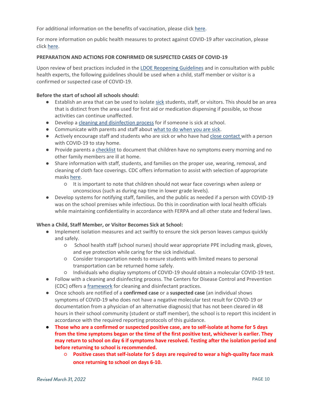For additional information on the benefits of vaccination, please click [here.](https://www.cdc.gov/coronavirus/2019-ncov/vaccines/index.html)

For more information on public health measures to protect against COVID-19 after vaccination, please clic[k](https://www.cdc.gov/coronavirus/2019-ncov/vaccines/fully-vaccinated-guidance.html) [here.](https://www.cdc.gov/coronavirus/2019-ncov/vaccines/fully-vaccinated-guidance.html)

# **PREPARATION AND ACTIONS FOR CONFIRMED OR SUSPECTED CASES OF COVID-19**

Upon review of best practices included in th[e LDOE Reopening Guidelines](https://www.louisianabelieves.com/docs/default-source/ready-to-achieve/ready-to-achieve!-2021-2022-school-operational-guidelines.pdf?sfvrsn=737f6718_2) and in consultation with public health experts, the following guidelines should be used when a child, staff member or visitor is a confirmed or suspected case of COVID-19.

## **Before the start of school all schools should:**

- Establish an area that can be used to isolat[e sick](https://www.cdc.gov/coronavirus/2019-ncov/symptoms-testing/symptoms.html?CDC_AA_refVal=https%3A%2F%2Fwww.cdc.gov%2Fcoronavirus%2F2019-ncov%2Fabout%2Fsymptoms.html) students, staff, or visitors. This should be an area that is distinct from the area used for first aid or medication dispensing if possible, so those activities can continue unaffected.
- Develop a [cleaning and disinfection process](https://www.cdc.gov/coronavirus/2019-ncov/community/disinfecting-building-facility.html?CDC_AA_refVal=https%3A%2F%2Fwww.cdc.gov%2Fcoronavirus%2F2019-ncov%2Fcommunity%2Freopen-guidance.html) for if someone is sick at school.
- Communicate with parents and staff about [what to do when you are sick.](https://www.cdc.gov/coronavirus/2019-ncov/if-you-are-sick/steps-when-sick.html)
- Actively encourage staff and students who are sick or who have ha[d close contact w](https://www.cdc.gov/coronavirus/2019-ncov/php/public-health-recommendations.html)ith a person with COVID-19 to stay home.
- Provide parents a [checklist](https://www.cdc.gov/coronavirus/2019-ncov/symptoms-testing/symptoms.html) to document that children have no symptoms every morning and no other family members are ill at home.
- Share information with staff, students, and families on the proper use, wearing, removal, and cleaning of cloth face coverings. CDC offers information to assist with selection of appropriate masks [here.](https://www.cdc.gov/coronavirus/2019-ncov/community/schools-childcare/operation-strategy.html?CDC_AA_refVal=https%3A%2F%2Fwww.cdc.gov%2Fcoronavirus%2F2019-ncov%2Fcommunity%2Fschools-childcare%2Fschools.html#anchor_1616080084165)
	- It is important to note that children should not wear face coverings when asleep or unconscious (such as during nap time in lower grade levels).
- Develop systems for notifying staff, families, and the public as needed if a person with COVID-19 was on the school premises while infectious. Do this in coordination with local health officials while maintaining confidentiality in accordance with FERPA and all other state and federal laws.

# **When a Child, Staff Member, or Visitor Becomes Sick at School:**

- Implement isolation measures and act swiftly to ensure the sick person leaves campus quickly and safely.
	- School health staff (school nurses) should wear appropriate PPE including mask, gloves, and eye protection while caring for the sick individual.
	- Consider transportation needs to ensure students with limited means to personal transportation can be returned home safely.
	- Individuals who display symptoms of COVID-19 should obtain a molecular COVID-19 test.
- Follow with a cleaning and disinfecting process. The Centers for Disease Control and Prevention (CDC) offers a [framework](https://www.cdc.gov/coronavirus/2019-ncov/community/disinfecting-building-facility.html?CDC_AA_refVal=https%3A%2F%2Fwww.cdc.gov%2Fcoronavirus%2F2019-ncov%2Fcommunity%2Freopen-guidance.html) for cleaning and disinfectant practices.
- Once schools are notified of a **confirmed case** or a **suspected case** (an individual shows symptoms of COVID-19 who does not have a negative molecular test result for COVID-19 or documentation from a physician of an alternative diagnosis) that has not been cleared in 48 hours in their school community (student or staff member), the school is to report this incident in accordance with the required reporting protocols of this guidance.
- **Those who are a confirmed or suspected positive case, are to self-isolate at home for 5 days from the time symptoms began or the time of the first positive test, whichever is earlier. They may return to school on day 6 if symptoms have resolved. Testing after the isolation period and before returning to school is recommended.**
	- **Positive cases that self-isolate for 5 days are required to wear a high-quality face mask once returning to school on days 6-10.**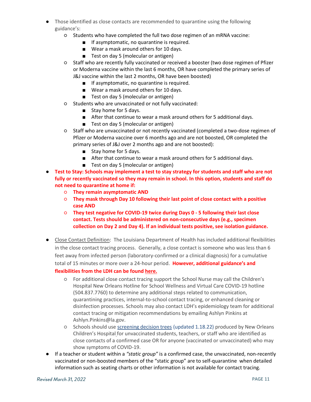- Those identified as close contacts are recommended to quarantine using the following guidance's:
	- Students who have completed the full two dose regimen of an mRNA vaccine:
		- If asymptomatic, no quarantine is required.
		- Wear a mask around others for 10 days.
		- Test on day 5 (molecular or antigen)
	- Staff who are recently fully vaccinated or received a booster (two dose regimen of Pfizer or Moderna vaccine within the last 6 months, OR have completed the primary series of J&J vaccine within the last 2 months, OR have been boosted)
		- If asymptomatic, no quarantine is required.
		- Wear a mask around others for 10 days.
		- Test on day 5 (molecular or antigen)
	- Students who are unvaccinated or not fully vaccinated:
		- Stay home for 5 days.
		- After that continue to wear a mask around others for 5 additional days.
		- Test on day 5 (molecular or antigen)
	- Staff who are unvaccinated or not recently vaccinated (completed a two-dose regimen of Pfizer or Moderna vaccine over 6 months ago and are not boosted, OR completed the primary series of J&J over 2 months ago and are not boosted):
		- Stay home for 5 days.
		- After that continue to wear a mask around others for 5 additional days.
		- Test on day 5 (molecular or antigen)
- **Test to Stay: Schools may implement a test to stay strategy for students and staff who are not fully or recently vaccinated so they may remain in school. In this option, students and staff do not need to quarantine at home if:** 
	- **They remain asymptomatic AND**
	- **They mask through Day 10 following their last point of close contact with a positive case AND**
	- **They test negative for COVID-19 twice during Days 0 - 5 following their last close contact. Tests should be administered on non-consecutive days (e.g., specimen collection on Day 2 and Day 4). If an individual tests positive, see isolation guidance.**
- Close Contact Definition: The Louisiana Department of Health has included additional flexibilities in the close contact tracing process. Generally, a close contact is someone who was less than 6 feet away from infected person (laboratory-confirmed or a clinical diagnosis) for a cumulative total of 15 minutes or more over a 24-hour period. **However, additional guidance's and flexibilities from the LDH can be found [here.](file:///C:/Users/tdelcour/AppData/Local/Microsoft/Windows/INetCache/Content.Outlook/JP4QIKGP/LDHCOVID-19%20Contact%20Tracing%20in%20Schools_01.07.22%20(003).pdf)**
	- For additional close contact tracing support the School Nurse may call the Children's Hospital New Orleans Hotline for School Wellness and Virtual Care COVID-19 hotline (504.837.7760) to determine any additional steps related to communication, quarantining practices, internal-to-school contact tracing, or enhanced cleaning or disinfection processes. Schools may also contact LDH's epidemiology team for additional contact tracing or mitigation recommendations by emailing Ashlyn Pinkins at Ashlyn.Pinkins@la.gov.
	- Schools should use [screening decision trees](https://www.chnola.org/images/CHNOLA-LDH-COVID-19-School-Decision-Tree-01.18.22.pdf) (updated 1.18.22) produced by New Orleans Children's Hospital [f](https://www.chnola.org/images/CHNOLA-LDH-COVID-19-School-Decision-Tree-3.19.2021.pdf)or unvaccinated students, teachers, or staff who are identified as close contacts of a confirmed case OR for anyone (vaccinated or unvaccinated) who may show symptoms of COVID-19.
- If a teacher or student within a *"static group"* is a confirmed case, the unvaccinated, non-recently vaccinated or non-boosted members of the "static group" are to self-quarantine when detailed information such as seating charts or other information is not available for contact tracing.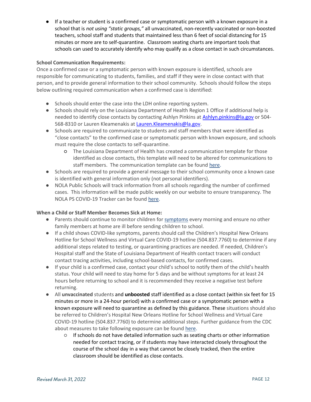● If a teacher or student is a confirmed case or symptomatic person with a known exposure in a school that is *not using "static groups,"* all unvaccinated, non-recently vaccinated or non-boosted teachers, school staff and students that maintained less than 6 feet of social distancing for 15 minutes or more are to self-quarantine. Classroom seating charts are important tools that schools can used to accurately identify who may qualify as a close contact in such circumstances.

# **School Communication Requirements:**

Once a confirmed case or a symptomatic person with known exposure is identified, schools are responsible for communicating to students, families, and staff if they were in close contact with that person, and to provide general information to their school community. Schools should follow the steps below outlining required communication when a confirmed case is identified:

- Schools should enter the case into the LDH online reporting system.
- Schools should rely on the Louisiana Department of Health Region 1 Office if additional help is needed to identify close contacts by contacting Ashlyn Pinkins at [Ashlyn.pinkins@la.gov](mailto:Ashlyn.pinkins@la.gov) or 504-568-8310 or Lauren Kleamenakis at Lauren. Kleamenakis@la.gov.
- Schools are required to communicate to students and staff members that were identified as "close contacts" to the confirmed case or symptomatic person with known exposure, and schools must require the close contacts to self-quarantine.
	- The Louisiana Department of Health has created a communication template for those identified as close contacts, this template will need to be altered for communications to staff members. The communication template can be foun[d](https://ldh.la.gov/assets/oph/Coronavirus/resources/k-12/reporting/LDH-School-Template-Letter-Contact-Notifications.docx) [here.](https://ldh.la.gov/assets/oph/Coronavirus/resources/k-12/reporting/LDH-School-Template-Letter-Contact-Notifications.docx)
- Schools are required to provide a general message to their school community once a known case is identified with general information only (not personal identifiers).
- NOLA Public Schools will track information from all schools regarding the number of confirmed cases. This information will be made public weekly on our website to ensure transparency. The NOLA PS COVID-19 Tracker can be foun[d](https://nolapublicschools.com/covidtracker) [here.](https://nolapublicschools.com/covidtracker)

# **When a Child or Staff Member Becomes Sick at Home:**

- Parents should continue to monitor children fo[r](https://www.cdc.gov/coronavirus/2019-ncov/symptoms-testing/symptoms.html) [symptoms](https://www.cdc.gov/coronavirus/2019-ncov/symptoms-testing/symptoms.html) every morning and ensure no other family members at home are ill before sending children to school.
- If a child shows COVID-like symptoms, parents should call the Children's Hospital New Orleans Hotline for School Wellness and Virtual Care COVID-19 hotline (504.837.7760) to determine if any additional steps related to testing, or quarantining practices are needed. If needed, Children's Hospital staff and the State of Louisiana Department of Health contact tracers will conduct contact tracing activities, including school-based contacts, for confirmed cases.
- If your child is a confirmed case, contact your child's school to notify them of the child's health status. Your child will need to stay home for 5 days and be without symptoms for at least 24 hours before returning to school and it is recommended they receive a negative test before returning.
- All **unvaccinated** students and **unboosted** staff identified as a close contact (within six feet for 15 minutes or more in a 24-hour period) with a confirmed case or a symptomatic person with a known exposure will need to quarantine as defined by this guidance. These situations should also be referred to Children's Hospital New Orleans Hotline for School Wellness and Virtual Care COVID-19 hotline (504.837.7760) to determine additional steps. Further guidance from the CDC about measures to take following exposure can be foun[d](https://www.cdc.gov/coronavirus/2019-ncov/php/public-health-recommendations.html) [here.](https://www.cdc.gov/coronavirus/2019-ncov/php/public-health-recommendations.html)
	- If schools do not have detailed information such as seating charts or other information needed for contact tracing, or if students may have interacted closely throughout the course of the school day in a way that cannot be closely tracked, then the entire classroom should be identified as close contacts.